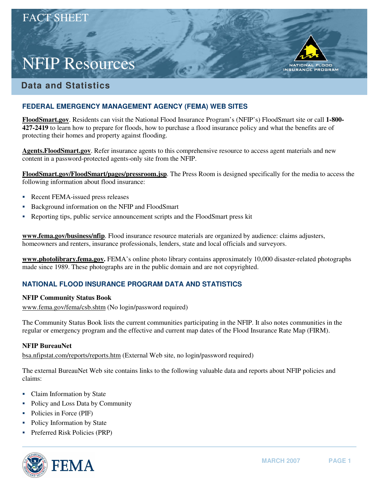# NFIP Resources

FLOOD **NATIONAL** INSURANCE PROGRAM

## **Data and Statistics**

## **FEDERAL EMERGENCY MANAGEMENT AGENCY (FEMA) WEB SITES**

**FloodSmart.gov**. Residents can visit the National Flood Insurance Program's (NFIP's) FloodSmart site or call **1-800 427-2419** to learn how to prepare for floods, how to purchase a flood insurance policy and what the benefits are of protecting their homes and property against flooding.

**Agents.FloodSmart.gov**. Refer insurance agents to this comprehensive resource to access agent materials and new content in a password-protected agents-only site from the NFIP.

**[FloodSmart.gov/FloodSmart/pages/pressroom.jsp](http://www.floodsmart.gov/floodsmart/pages/pressroom.jsp)**. The Press Room is designed specifically for the media to access the following information about flood insurance:

- Recent FEMA-issued press releases
- Background information on the NFIP and FloodSmart
- � Reporting tips, public service announcement scripts and the FloodSmart press kit

**www.fema.gov/business/nfip**. Flood insurance resource materials are organized by audience: claims adjusters, homeowners and renters, insurance professionals, lenders, state and local officials and surveyors.

**www.photolibrary.fema.gov.** FEMA's online photo library contains approximately 10,000 disaster-related photographs made since 1989. These photographs are in the public domain and are not copyrighted.

## **NATIONAL FLOOD INSURANCE PROGRAM DATA AND STATISTICS**

#### **NFIP Community Status Book**

www.fema.gov/fema/csb.shtm (No login/password required)

The Community Status Book lists the current communities participating in the NFIP. It also notes communities in the regular or emergency program and the effective and current map dates of the Flood Insurance Rate Map (FIRM).

## **NFIP BureauNet**

[bsa.nfipstat.com/reports/reports.htm](http://bsa.nfipstat.com/reports/reports.htm) (External Web site, no login/password required)

The external BureauNet Web site contains links to the following valuable data and reports about NFIP policies and claims:

- Claim Information by State
- Policy and Loss Data by Community
- Policies in Force (PIF)
- Policy Information by State
- Preferred Risk Policies (PRP)

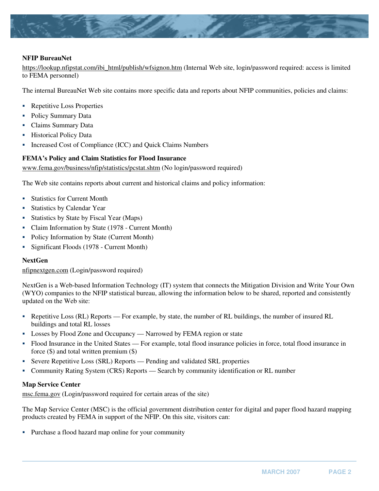

#### **NFIP BureauNet**

https://lookup.nfipstat.com/ibi\_html/publish/wfsignon.htm (Internal Web site, login/password required: access is limited to FEMA personnel)

The internal BureauNet Web site contains more specific data and reports about NFIP communities, policies and claims:

- Repetitive Loss Properties
- Policy Summary Data
- Claims Summary Data
- **•** Historical Policy Data
- � Increased Cost of Compliance (ICC) and Quick Claims Numbers

#### **FEMA's Policy and Claim Statistics for Flood Insurance**

www.fema.gov/business/nfip/statistics/pcstat.shtm (No login/password required)

The Web site contains reports about current and historical claims and policy information:

- Statistics for Current Month
- Statistics by Calendar Year
- Statistics by State by Fiscal Year (Maps)
- Claim Information by State (1978 Current Month)
- Policy Information by State (Current Month)
- Significant Floods (1978 Current Month)

#### **NextGen**

[nfipnextgen.com](http://nfipnextgen.com) (Login/password required)

NextGen is a Web-based Information Technology (IT) system that connects the Mitigation Division and Write Your Own (WYO) companies to the NFIP statistical bureau, allowing the information below to be shared, reported and consistently updated on the Web site:

- � Repetitive Loss (RL) Reports For example, by state, the number of RL buildings, the number of insured RL buildings and total RL losses
- Losses by Flood Zone and Occupancy Narrowed by FEMA region or state
- � Flood Insurance in the United States For example, total flood insurance policies in force, total flood insurance in force (\$) and total written premium (\$)
- � Severe Repetitive Loss (SRL) Reports Pending and validated SRL properties
- � Community Rating System (CRS) Reports Search by community identification or RL number

#### **Map Service Center**

[msc.fema.gov](http://msc.fema.gov) (Login/password required for certain areas of the site)

The Map Service Center (MSC) is the official government distribution center for digital and paper flood hazard mapping products created by FEMA in support of the NFIP. On this site, visitors can:

� Purchase a flood hazard map online for your community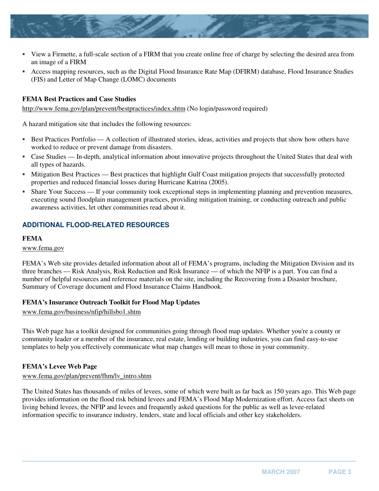- � View a Firmette, a full-scale section of a FIRM that you create online free of charge by selecting the desired area from an image of a FIRM
- � Access mapping resources, such as the Digital Flood Insurance Rate Map (DFIRM) database, Flood Insurance Studies (FIS) and Letter of Map Change (LOMC) documents

#### **FEMA Best Practices and Case Studies**

http://www.fema.gov/plan/prevent/bestpractices/index.shtm (No login/password required)

A hazard mitigation site that includes the following resources:

- **Best Practices Portfolio** A collection of illustrated stories, ideas, activities and projects that show how others have worked to reduce or prevent damage from disasters.
- Case Studies In-depth, analytical information about innovative projects throughout the United States that deal with all types of hazards.
- $\blacksquare$  Mitigation Best Practices Best practices that highlight Gulf Coast mitigation projects that successfully protected properties and reduced financial losses during Hurricane Katrina (2005).
- Share Your Success If your community took exceptional steps in implementing planning and prevention measures, executing sound floodplain management practices, providing mitigation training, or conducting outreach and public awareness activities, let other communities read about it.

## **ADDITIONAL FLOOD-RELATED RESOURCES**

#### **FEMA**

www.fema.gov

FEMA's Web site provides detailed information about all of FEMA's programs, including the Mitigation Division and its three branches — Risk Analysis, Risk Reduction and Risk Insurance — of which the NFIP is a part. You can find a number of helpful resources and reference materials on the site, including the Recovering from a Disaster brochure, Summary of Coverage document and Flood Insurance Claims Handbook.

#### **FEMA's Insurance Outreach Toolkit for Flood Map Updates**

www.fema.gov/business/nfip/hillsbo1.shtm

This Web page has a toolkit designed for communities going through flood map updates. Whether you're a county or community leader or a member of the insurance, real estate, lending or building industries, you can find easy-to-use templates to help you effectively communicate what map changes will mean to those in your community.

#### **FEMA's Levee Web Page**

#### www.fema.gov/plan/prevent/fhm/lv\_intro.shtm

The United States has thousands of miles of levees, some of which were built as far back as 150 years ago. This Web page provides information on the flood risk behind levees and FEMA's Flood Map Modernization effort. Access fact sheets on living behind levees, the NFIP and levees and frequently asked questions for the public as well as levee-related information specific to insurance industry, lenders, state and local officials and other key stakeholders.